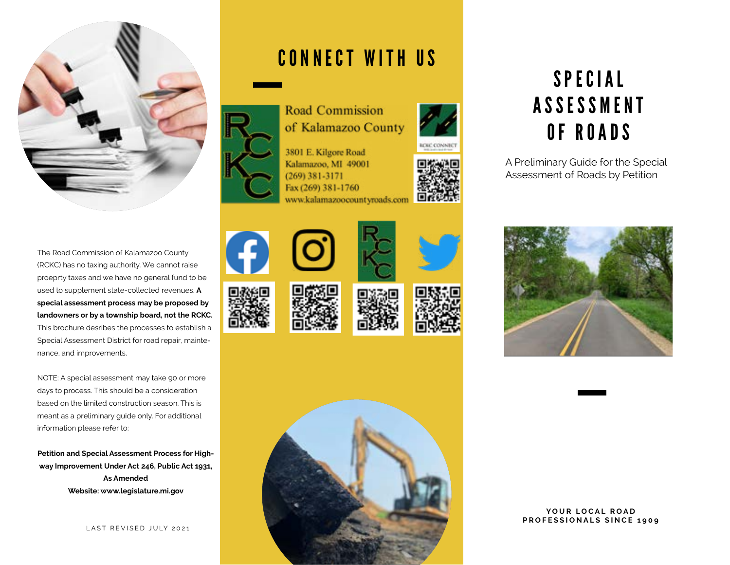

The Road Commission of Kalamazoo County (RCKC) has no taxing authority. We cannot raise proeprty taxes and we have no general fund to be used to supplement state-collected revenues. **A special assessment process may be proposed by landowners or by a township board, not the RCKC.**  This brochure desribes the processes to establish a Special Assessment District for road repair, maintenance, and improvements.

NOTE: A special assessment may take 90 or more days to process. This should be a consideration based on the limited construction season. This is meant as a preliminary guide only. For additional information please refer to:

**Petition and Special Assessment Process for Highway Improvement Under Act 246, Public Act 1931, As Amended Website: www.legislature.mi.gov**

LAST REVISED JULY 2021

## CONNECT WITH US



of Kalamazoo County 3801 E. Kilgore Road

Kalamazoo, MI 49001  $(269)$  381-3171 Fax (269) 381-1760 www.kalamazoocountyroads.com















# S P E C I A L **ASSESSMENT** OF ROADS

A Preliminary Guide for the Special Assessment of Roads by Petition



#### YOUR LOCAL ROAD **PROFESSIONALS SINCE 1909**